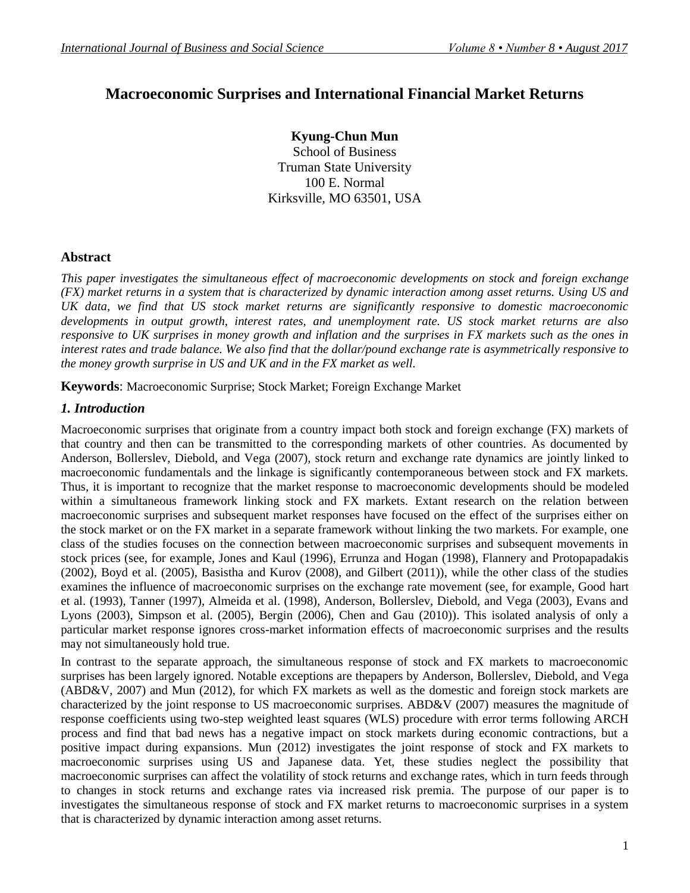# **Macroeconomic Surprises and International Financial Market Returns**

**Kyung-Chun Mun** School of Business Truman State University 100 E. Normal Kirksville, MO 63501, USA

# **Abstract**

*This paper investigates the simultaneous effect of macroeconomic developments on stock and foreign exchange (FX) market returns in a system that is characterized by dynamic interaction among asset returns. Using US and UK data, we find that US stock market returns are significantly responsive to domestic macroeconomic developments in output growth, interest rates, and unemployment rate. US stock market returns are also responsive to UK surprises in money growth and inflation and the surprises in FX markets such as the ones in interest rates and trade balance. We also find that the dollar/pound exchange rate is asymmetrically responsive to the money growth surprise in US and UK and in the FX market as well.* 

**Keywords**: Macroeconomic Surprise; Stock Market; Foreign Exchange Market

# *1. Introduction*

Macroeconomic surprises that originate from a country impact both stock and foreign exchange (FX) markets of that country and then can be transmitted to the corresponding markets of other countries. As documented by Anderson, Bollerslev, Diebold, and Vega (2007), stock return and exchange rate dynamics are jointly linked to macroeconomic fundamentals and the linkage is significantly contemporaneous between stock and FX markets. Thus, it is important to recognize that the market response to macroeconomic developments should be modeled within a simultaneous framework linking stock and FX markets. Extant research on the relation between macroeconomic surprises and subsequent market responses have focused on the effect of the surprises either on the stock market or on the FX market in a separate framework without linking the two markets. For example, one class of the studies focuses on the connection between macroeconomic surprises and subsequent movements in stock prices (see, for example, Jones and Kaul (1996), Errunza and Hogan (1998), Flannery and Protopapadakis (2002), Boyd et al. (2005), Basistha and Kurov (2008), and Gilbert (2011)), while the other class of the studies examines the influence of macroeconomic surprises on the exchange rate movement (see, for example, Good hart et al. (1993), Tanner (1997), Almeida et al. (1998), Anderson, Bollerslev, Diebold, and Vega (2003), Evans and Lyons (2003), Simpson et al. (2005), Bergin (2006), Chen and Gau (2010)). This isolated analysis of only a particular market response ignores cross-market information effects of macroeconomic surprises and the results may not simultaneously hold true.

In contrast to the separate approach, the simultaneous response of stock and FX markets to macroeconomic surprises has been largely ignored. Notable exceptions are thepapers by Anderson, Bollerslev, Diebold, and Vega (ABD&V, 2007) and Mun (2012), for which FX markets as well as the domestic and foreign stock markets are characterized by the joint response to US macroeconomic surprises. ABD&V (2007) measures the magnitude of response coefficients using two-step weighted least squares (WLS) procedure with error terms following ARCH process and find that bad news has a negative impact on stock markets during economic contractions, but a positive impact during expansions. Mun (2012) investigates the joint response of stock and FX markets to macroeconomic surprises using US and Japanese data. Yet, these studies neglect the possibility that macroeconomic surprises can affect the volatility of stock returns and exchange rates, which in turn feeds through to changes in stock returns and exchange rates via increased risk premia. The purpose of our paper is to investigates the simultaneous response of stock and FX market returns to macroeconomic surprises in a system that is characterized by dynamic interaction among asset returns.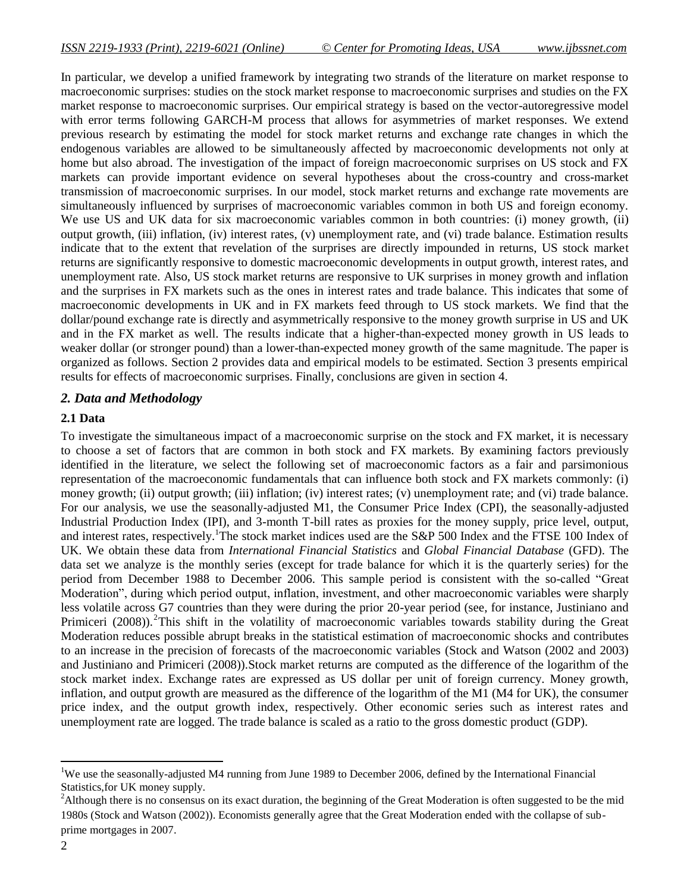In particular, we develop a unified framework by integrating two strands of the literature on market response to macroeconomic surprises: studies on the stock market response to macroeconomic surprises and studies on the FX market response to macroeconomic surprises. Our empirical strategy is based on the vector-autoregressive model with error terms following GARCH-M process that allows for asymmetries of market responses. We extend previous research by estimating the model for stock market returns and exchange rate changes in which the endogenous variables are allowed to be simultaneously affected by macroeconomic developments not only at home but also abroad. The investigation of the impact of foreign macroeconomic surprises on US stock and FX markets can provide important evidence on several hypotheses about the cross-country and cross-market transmission of macroeconomic surprises. In our model, stock market returns and exchange rate movements are simultaneously influenced by surprises of macroeconomic variables common in both US and foreign economy. We use US and UK data for six macroeconomic variables common in both countries: (i) money growth, (ii) output growth, (iii) inflation, (iv) interest rates, (v) unemployment rate, and (vi) trade balance. Estimation results indicate that to the extent that revelation of the surprises are directly impounded in returns, US stock market returns are significantly responsive to domestic macroeconomic developments in output growth, interest rates, and unemployment rate. Also, US stock market returns are responsive to UK surprises in money growth and inflation and the surprises in FX markets such as the ones in interest rates and trade balance. This indicates that some of macroeconomic developments in UK and in FX markets feed through to US stock markets. We find that the dollar/pound exchange rate is directly and asymmetrically responsive to the money growth surprise in US and UK and in the FX market as well. The results indicate that a higher-than-expected money growth in US leads to weaker dollar (or stronger pound) than a lower-than-expected money growth of the same magnitude. The paper is organized as follows. Section 2 provides data and empirical models to be estimated. Section 3 presents empirical results for effects of macroeconomic surprises. Finally, conclusions are given in section 4.

# *2. Data and Methodology*

# **2.1 Data**

To investigate the simultaneous impact of a macroeconomic surprise on the stock and FX market, it is necessary to choose a set of factors that are common in both stock and FX markets. By examining factors previously identified in the literature, we select the following set of macroeconomic factors as a fair and parsimonious representation of the macroeconomic fundamentals that can influence both stock and FX markets commonly: (i) money growth; (ii) output growth; (iii) inflation; (iv) interest rates; (v) unemployment rate; and (vi) trade balance. For our analysis, we use the seasonally-adjusted M1, the Consumer Price Index (CPI), the seasonally-adjusted Industrial Production Index (IPI), and 3-month T-bill rates as proxies for the money supply, price level, output, and interest rates, respectively.<sup>1</sup>The stock market indices used are the S&P 500 Index and the FTSE 100 Index of UK. We obtain these data from *International Financial Statistics* and *Global Financial Database* (GFD). The data set we analyze is the monthly series (except for trade balance for which it is the quarterly series) for the period from December 1988 to December 2006. This sample period is consistent with the so-called "Great Moderation", during which period output, inflation, investment, and other macroeconomic variables were sharply less volatile across G7 countries than they were during the prior 20-year period (see, for instance, Justiniano and Primiceri (2008)).<sup>2</sup>This shift in the volatility of macroeconomic variables towards stability during the Great Moderation reduces possible abrupt breaks in the statistical estimation of macroeconomic shocks and contributes to an increase in the precision of forecasts of the macroeconomic variables (Stock and Watson (2002 and 2003) and Justiniano and Primiceri (2008)).Stock market returns are computed as the difference of the logarithm of the stock market index. Exchange rates are expressed as US dollar per unit of foreign currency. Money growth, inflation, and output growth are measured as the difference of the logarithm of the M1 (M4 for UK), the consumer price index, and the output growth index, respectively. Other economic series such as interest rates and unemployment rate are logged. The trade balance is scaled as a ratio to the gross domestic product (GDP).

l

<sup>&</sup>lt;sup>1</sup>We use the seasonally-adjusted M4 running from June 1989 to December 2006, defined by the International Financial Statistics,for UK money supply.

<sup>&</sup>lt;sup>2</sup>Although there is no consensus on its exact duration, the beginning of the Great Moderation is often suggested to be the mid 1980s (Stock and Watson (2002)). Economists generally agree that the Great Moderation ended with the collapse of subprime mortgages in 2007.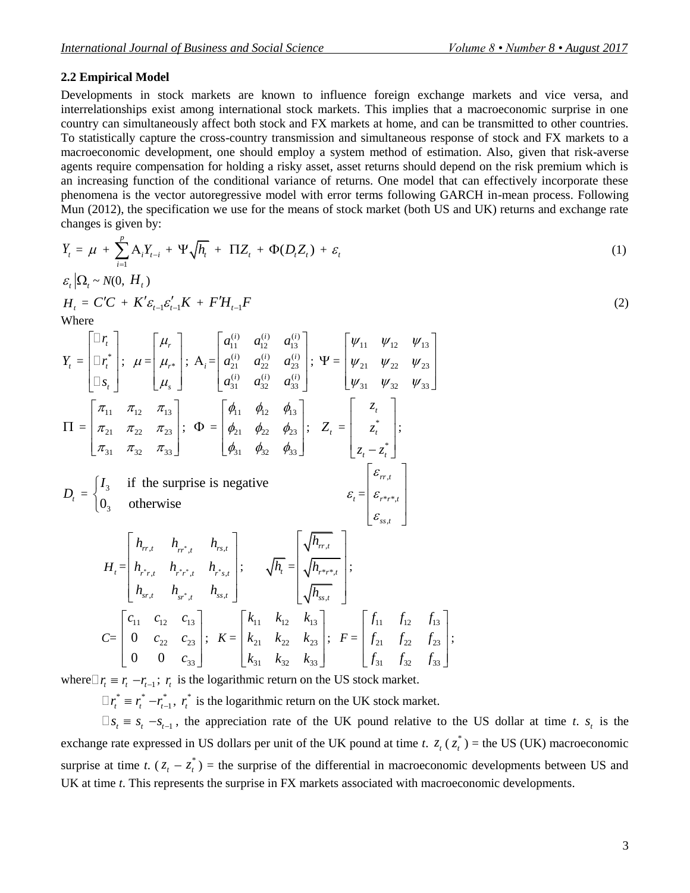#### **2.2 Empirical Model**

Developments in stock markets are known to influence foreign exchange markets and vice versa, and interrelationships exist among international stock markets. This implies that a macroeconomic surprise in one country can simultaneously affect both stock and FX markets at home, and can be transmitted to other countries. To statistically capture the cross-country transmission and simultaneous response of stock and FX markets to a macroeconomic development, one should employ a system method of estimation. Also, given that risk-averse agents require compensation for holding a risky asset, asset returns should depend on the risk premium which is an increasing function of the conditional variance of returns. One model that can effectively incorporate these phenomena is the vector autoregressive model with error terms following GARCH in-mean process. Following Mun (2012), the specification we use for the means of stock market (both US and UK) returns and exchange rate changes is given by:

$$
Y_t = \mu + \sum_{i=1}^p A_i Y_{t-i} + \Psi \sqrt{h_t} + \Pi Z_t + \Phi(D_t Z_t) + \varepsilon_t
$$
\n(1)

$$
\varepsilon_t |\Omega_t \sim N(0, H_t)
$$
  
\n
$$
H_t = C'C + K'\varepsilon_{t-1}\varepsilon_{t-1}'K + F'H_{t-1}F
$$
\n(2)

Where

$$
Y_{t} =\begin{bmatrix} \Box r_{t} \\ \Box r_{t} \\ \Box s_{t} \end{bmatrix}; \quad \mu = \begin{bmatrix} \mu_{r} \\ \mu_{r} \\ \mu_{s} \end{bmatrix}; \quad A_{i} = \begin{bmatrix} a_{11}^{(i)} & a_{12}^{(i)} & a_{13}^{(i)} \\ a_{21}^{(i)} & a_{22}^{(i)} & a_{23}^{(i)} \\ a_{31}^{(i)} & a_{32}^{(i)} & a_{33}^{(i)} \end{bmatrix}; \quad \Psi = \begin{bmatrix} \psi_{11} & \psi_{12} & \psi_{13} \\ \psi_{21} & \psi_{22} & \psi_{23} \\ \psi_{31} & \psi_{32} & \psi_{33} \end{bmatrix}
$$

$$
\Pi = \begin{bmatrix} \pi_{11} & \pi_{12} & \pi_{13} \\ \pi_{21} & \pi_{22} & \pi_{23} \\ \pi_{31} & \pi_{32} & \pi_{33} \end{bmatrix}; \quad \Phi = \begin{bmatrix} \phi_{11} & \phi_{12} & \phi_{13} \\ \phi_{21} & \phi_{22} & \phi_{23} \\ \phi_{31} & \phi_{32} & \phi_{33} \end{bmatrix}; \quad Z_{t} = \begin{bmatrix} z_{t} \\ z_{t} \\ z_{t} - z_{t}^{*} \end{bmatrix};
$$

$$
D_{t} = \begin{bmatrix} I_{3} & \text{if the surprise is negative} \\ 0_{3} & \text{otherwise} \end{bmatrix}
$$

$$
H_{t} = \begin{bmatrix} h_{rr, t} & h_{rr, t} & h_{rs, t} \\ h_{r,r, t} & h_{rr, t} & h_{rs, t} \\ h_{sr, t} & h_{sr, t} & h_{ss, t} \end{bmatrix}; \quad \sqrt{h_{t}} = \begin{bmatrix} \sqrt{h_{rr, t}} \\ \sqrt{h_{rs, t}} \\ \sqrt{h_{rs, t}} \end{bmatrix};
$$

$$
C = \begin{bmatrix} c_{11} & c_{12} & c_{13} \\ 0 & c_{22} & c_{23} \\ 0 & 0 & c_{33} \end{bmatrix}; \quad K = \begin{bmatrix} k_{11} & k_{12} & k_{13} \\ k_{21} & k_{22} & k_{2
$$

where  $\Gamma r_i = r_i - r_{i-1}$ ;  $r_i$  is the logarithmic return on the US stock market.

0 0  $c_{33}$ 

*c*

 $\Box r_t^* \equiv r_t^*$  $r_t^*$  — $r_{t-}^*$  $-r_{t-1}^*$ ,  $r_t^*$  $r_t^*$  is the logarithmic return on the UK stock market.

31  $\kappa_{32}$   $\kappa_{33}$ 

 $k_{31}$   $k_{32}$   $k$ 

 $s_t = s_t - s_{t-1}$ , the appreciation rate of the UK pound relative to the US dollar at time *t*.  $s_t$  is the exchange rate expressed in US dollars per unit of the UK pound at time *t*.  $z_t$  ( $z_t^*$ )  $z_t^*$ ) = the US (UK) macroeconomic surprise at time *t*.  $(z_t - z_t^*)$  $z_t^*$ ) = the surprise of the differential in macroeconomic developments between US and UK at time *t*. This represents the surprise in FX markets associated with macroeconomic developments.

 $31$   $J_{32}$   $J_{33}$ 

 $f_{31}$   $f_{32}$   $f$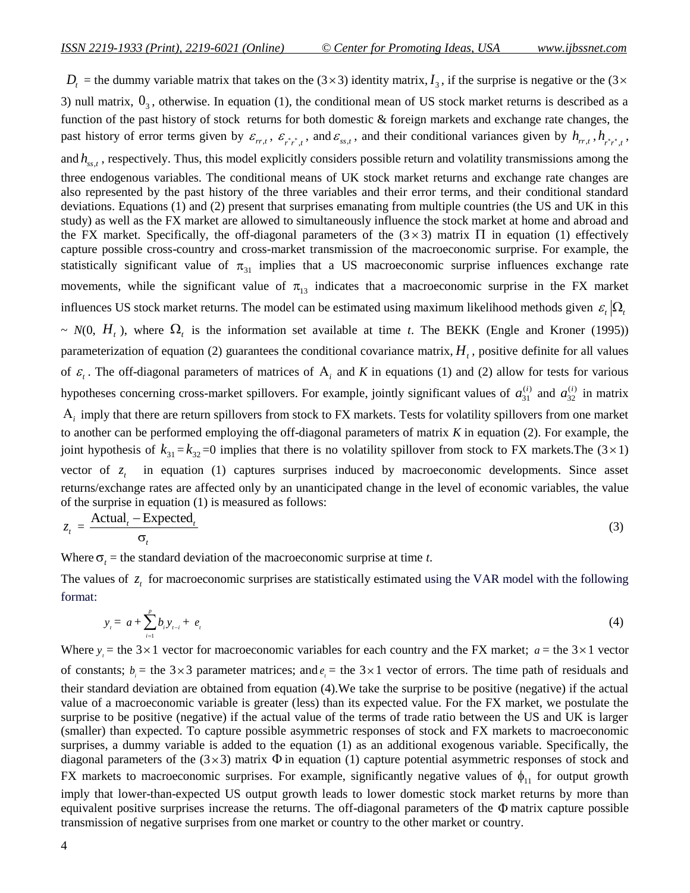$D_t$  = the dummy variable matrix that takes on the (3 × 3) identity matrix,  $I_3$ , if the surprise is negative or the (3 × 3) null matrix,  $0_3$ , otherwise. In equation (1), the conditional mean of US stock market returns is described as a function of the past history of stock returns for both domestic & foreign markets and exchange rate changes, the past history of error terms given by  $\varepsilon_{rr,t}$ ,  $\varepsilon_{rr,t}$ , and  $\varepsilon_{ss,t}$ , and their conditional variances given by  $h_{rr,t}$ ,  $h_{rr,t}$ , and  $h_{ss,t}$ , respectively. Thus, this model explicitly considers possible return and volatility transmissions among the three endogenous variables. The conditional means of UK stock market returns and exchange rate changes are also represented by the past history of the three variables and their error terms, and their conditional standard deviations. Equations (1) and (2) present that surprises emanating from multiple countries (the US and UK in this study) as well as the FX market are allowed to simultaneously influence the stock market at home and abroad and the FX market. Specifically, the off-diagonal parameters of the  $(3 \times 3)$  matrix  $\Pi$  in equation (1) effectively capture possible cross-country and cross-market transmission of the macroeconomic surprise. For example, the statistically significant value of  $\pi_{31}$  implies that a US macroeconomic surprise influences exchange rate movements, while the significant value of  $\pi_{13}$  indicates that a macroeconomic surprise in the FX market influences US stock market returns. The model can be estimated using maximum likelihood methods given  $\varepsilon_t |\Omega_t|$  $\sim N(0, H_t)$ , where  $\Omega_t$  is the information set available at time *t*. The BEKK (Engle and Kroner (1995)) parameterization of equation (2) guarantees the conditional covariance matrix,  $H<sub>t</sub>$ , positive definite for all values of  $\varepsilon$ <sub>i</sub>. The off-diagonal parameters of matrices of A<sub>i</sub> and K in equations (1) and (2) allow for tests for various hypotheses concerning cross-market spillovers. For example, jointly significant values of  $a_{31}^{(i)}$ 31  $a_{31}^{(i)}$  and  $a_{32}^{(i)}$ 32  $a_{32}^{(i)}$  in matrix  $A_i$  imply that there are return spillovers from stock to FX markets. Tests for volatility spillovers from one market to another can be performed employing the off-diagonal parameters of matrix *K* in equation (2). For example, the joint hypothesis of  $k_{31} = k_{32} = 0$  implies that there is no volatility spillover from stock to FX markets. The  $(3 \times 1)$ vector of  $z_t$ in equation (1) captures surprises induced by macroeconomic developments. Since asset returns/exchange rates are affected only by an unanticipated change in the level of economic variables, the value of the surprise in equation (1) is measured as follows:  $\text{Actual}_{t}$  – Expected<sub>*t*</sub>

$$
z_t = \frac{\text{Actual}_t - \text{Lapected}_t}{\sigma_t} \tag{3}
$$

Where  $\sigma_t$  = the standard deviation of the macroeconomic surprise at time *t*.

The values of  $z_t$  for macroeconomic surprises are statistically estimated using the VAR model with the following format:

$$
y_{i} = a + \sum_{i=1}^{p} b_{i} y_{i} + e_{i} \tag{4}
$$

Where  $y_i$  = the 3 × 1 vector for macroeconomic variables for each country and the FX market;  $a$  = the 3 × 1 vector of constants;  $b_i$  = the 3 × 3 parameter matrices; and  $e_i$  = the 3 × 1 vector of errors. The time path of residuals and their standard deviation are obtained from equation (4).We take the surprise to be positive (negative) if the actual value of a macroeconomic variable is greater (less) than its expected value. For the FX market, we postulate the surprise to be positive (negative) if the actual value of the terms of trade ratio between the US and UK is larger (smaller) than expected. To capture possible asymmetric responses of stock and FX markets to macroeconomic surprises, a dummy variable is added to the equation (1) as an additional exogenous variable. Specifically, the diagonal parameters of the  $(3\times3)$  matrix  $\Phi$  in equation (1) capture potential asymmetric responses of stock and FX markets to macroeconomic surprises. For example, significantly negative values of  $\phi_{11}$  for output growth imply that lower-than-expected US output growth leads to lower domestic stock market returns by more than equivalent positive surprises increase the returns. The off-diagonal parameters of the  $\Phi$  matrix capture possible transmission of negative surprises from one market or country to the other market or country.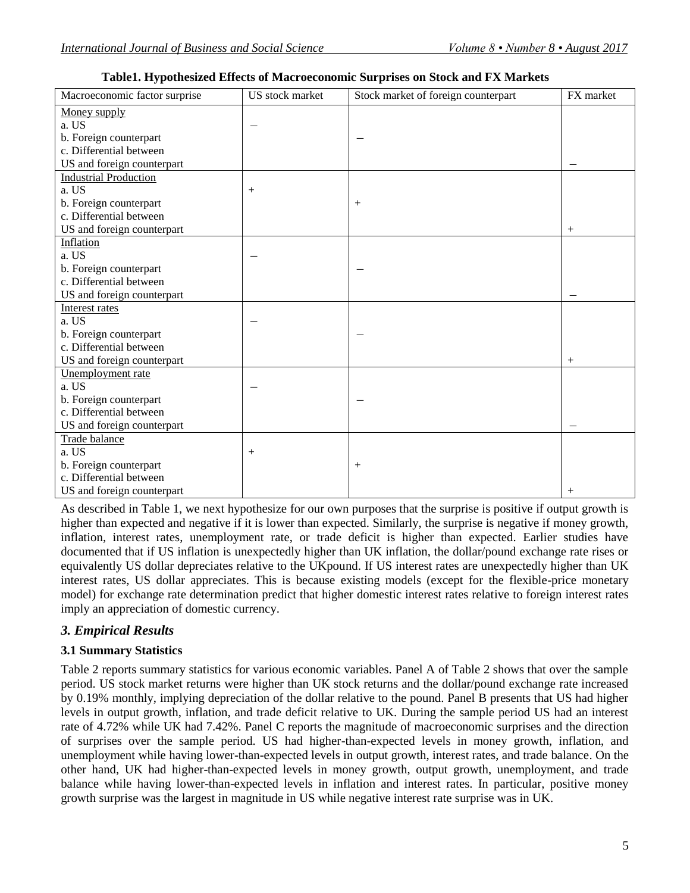| Macroeconomic factor surprise                     | US stock market | Stock market of foreign counterpart | FX market |
|---------------------------------------------------|-----------------|-------------------------------------|-----------|
| Money supply                                      |                 |                                     |           |
| a. US                                             |                 |                                     |           |
| b. Foreign counterpart                            |                 |                                     |           |
| c. Differential between                           |                 |                                     |           |
| US and foreign counterpart                        |                 |                                     |           |
| <b>Industrial Production</b>                      |                 |                                     |           |
| a. US                                             | $^{+}$          |                                     |           |
| b. Foreign counterpart                            |                 | $^{+}$                              |           |
| c. Differential between                           |                 |                                     |           |
| US and foreign counterpart                        |                 |                                     | $^{+}$    |
| Inflation                                         |                 |                                     |           |
| a. US                                             |                 |                                     |           |
| b. Foreign counterpart                            |                 |                                     |           |
| c. Differential between                           |                 |                                     |           |
| US and foreign counterpart                        |                 |                                     |           |
| Interest rates                                    |                 |                                     |           |
| a. US                                             |                 |                                     |           |
| b. Foreign counterpart                            |                 |                                     |           |
| c. Differential between                           |                 |                                     |           |
| US and foreign counterpart                        |                 |                                     | $^{+}$    |
| Unemployment rate                                 |                 |                                     |           |
| a. US                                             |                 |                                     |           |
| b. Foreign counterpart<br>c. Differential between |                 |                                     |           |
| US and foreign counterpart                        |                 |                                     |           |
| Trade balance                                     |                 |                                     |           |
| a. US                                             | $^{+}$          |                                     |           |
| b. Foreign counterpart                            |                 | $^{+}$                              |           |
| c. Differential between                           |                 |                                     |           |
| US and foreign counterpart                        |                 |                                     | $^{+}$    |
|                                                   |                 |                                     |           |

**Table1. Hypothesized Effects of Macroeconomic Surprises on Stock and FX Markets**

As described in Table 1, we next hypothesize for our own purposes that the surprise is positive if output growth is higher than expected and negative if it is lower than expected. Similarly, the surprise is negative if money growth, inflation, interest rates, unemployment rate, or trade deficit is higher than expected. Earlier studies have documented that if US inflation is unexpectedly higher than UK inflation, the dollar/pound exchange rate rises or equivalently US dollar depreciates relative to the UKpound. If US interest rates are unexpectedly higher than UK interest rates, US dollar appreciates. This is because existing models (except for the flexible-price monetary model) for exchange rate determination predict that higher domestic interest rates relative to foreign interest rates imply an appreciation of domestic currency.

# *3. Empirical Results*

# **3.1 Summary Statistics**

Table 2 reports summary statistics for various economic variables. Panel A of Table 2 shows that over the sample period. US stock market returns were higher than UK stock returns and the dollar/pound exchange rate increased by 0.19% monthly, implying depreciation of the dollar relative to the pound. Panel B presents that US had higher levels in output growth, inflation, and trade deficit relative to UK. During the sample period US had an interest rate of 4.72% while UK had 7.42%. Panel C reports the magnitude of macroeconomic surprises and the direction of surprises over the sample period. US had higher-than-expected levels in money growth, inflation, and unemployment while having lower-than-expected levels in output growth, interest rates, and trade balance. On the other hand, UK had higher-than-expected levels in money growth, output growth, unemployment, and trade balance while having lower-than-expected levels in inflation and interest rates. In particular, positive money growth surprise was the largest in magnitude in US while negative interest rate surprise was in UK.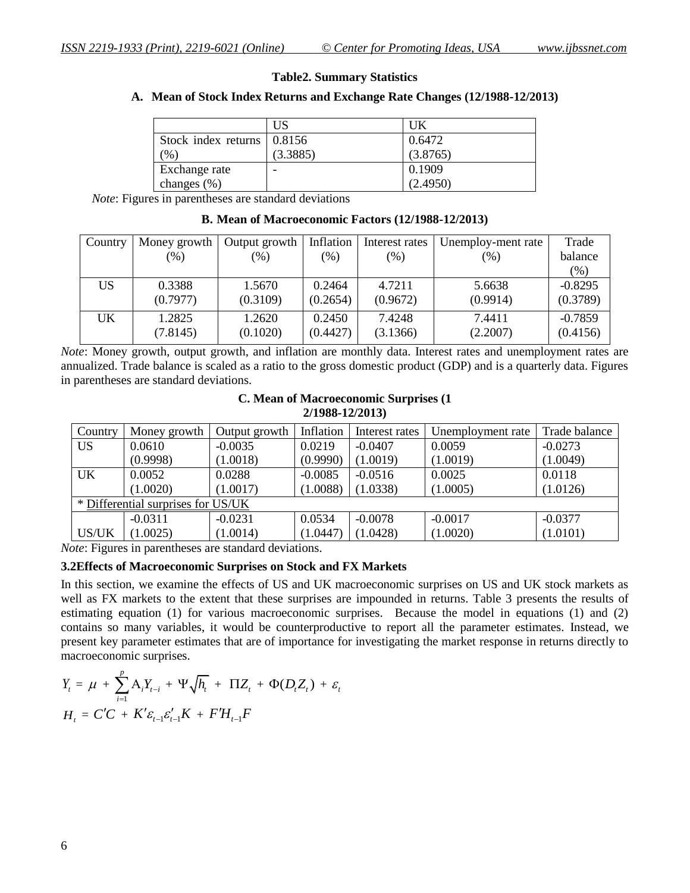#### **Table2. Summary Statistics**

### **A. Mean of Stock Index Returns and Exchange Rate Changes (12/1988-12/2013)**

|                            | US       | UK       |
|----------------------------|----------|----------|
| Stock index returns 0.8156 |          | 0.6472   |
| $\frac{9}{6}$              | (3.3885) | (3.8765) |
| Exchange rate              |          | 0.1909   |
| changes $(\%)$             |          | (2.4950) |

 *Note*: Figures in parentheses are standard deviations

| Country | Money growth | Output growth | Inflation | Interest rates | Unemploy-ment rate | Trade     |
|---------|--------------|---------------|-----------|----------------|--------------------|-----------|
|         | $(\% )$      | $(\% )$       | $(\% )$   | $(\%)$         | $(\%)$             | balance   |
|         |              |               |           |                |                    | $(\%)$    |
| US      | 0.3388       | 1.5670        | 0.2464    | 4.7211         | 5.6638             | $-0.8295$ |
|         | (0.7977)     | (0.3109)      | (0.2654)  | (0.9672)       | (0.9914)           | (0.3789)  |
| UK      | 1.2825       | 1.2620        | 0.2450    | 7.4248         | 7.4411             | $-0.7859$ |
|         | (7.8145)     | (0.1020)      | (0.4427)  | (3.1366)       | (2.2007)           | (0.4156)  |

# **B. Mean of Macroeconomic Factors (12/1988-12/2013)**

*Note*: Money growth, output growth, and inflation are monthly data. Interest rates and unemployment rates are annualized. Trade balance is scaled as a ratio to the gross domestic product (GDP) and is a quarterly data. Figures in parentheses are standard deviations.

#### **C. Mean of Macroeconomic Surprises (1 2/1988-12/2013)**

| Country                            | Money growth | Output growth | Inflation | Interest rates | Unemployment rate | Trade balance |
|------------------------------------|--------------|---------------|-----------|----------------|-------------------|---------------|
| <b>US</b>                          | 0.0610       | $-0.0035$     | 0.0219    | $-0.0407$      | 0.0059            | $-0.0273$     |
|                                    | (0.9998)     | (1.0018)      | (0.9990)  | (1.0019)       | (1.0019)          | (1.0049)      |
| <b>UK</b>                          | 0.0052       | 0.0288        | $-0.0085$ | $-0.0516$      | 0.0025            | 0.0118        |
|                                    | (1.0020)     | (1.0017)      | (1.0088)  | (1.0338)       | (1.0005)          | (1.0126)      |
| * Differential surprises for US/UK |              |               |           |                |                   |               |
|                                    | $-0.0311$    | $-0.0231$     | 0.0534    | $-0.0078$      | $-0.0017$         | $-0.0377$     |
| US/UK                              | 1.0025       | (1.0014)      | (1.0447)  | (1.0428)       | (1.0020)          | (1.0101)      |

*Note*: Figures in parentheses are standard deviations.

#### **3.2Effects of Macroeconomic Surprises on Stock and FX Markets**

In this section, we examine the effects of US and UK macroeconomic surprises on US and UK stock markets as well as FX markets to the extent that these surprises are impounded in returns. Table 3 presents the results of estimating equation (1) for various macroeconomic surprises. Because the model in equations (1) and (2) contains so many variables, it would be counterproductive to report all the parameter estimates. Instead, we present key parameter estimates that are of importance for investigating the market response in returns directly to macroeconomic surprises.

$$
Y_{t} = \mu + \sum_{i=1}^{p} A_{i} Y_{t-i} + \Psi \sqrt{h_{t}} + \Pi Z_{t} + \Phi (D_{t} Z_{t}) + \varepsilon_{t}
$$
  

$$
H_{t} = C'C + K' \varepsilon_{t-1} \varepsilon_{t-1}' K + F'H_{t-1}F
$$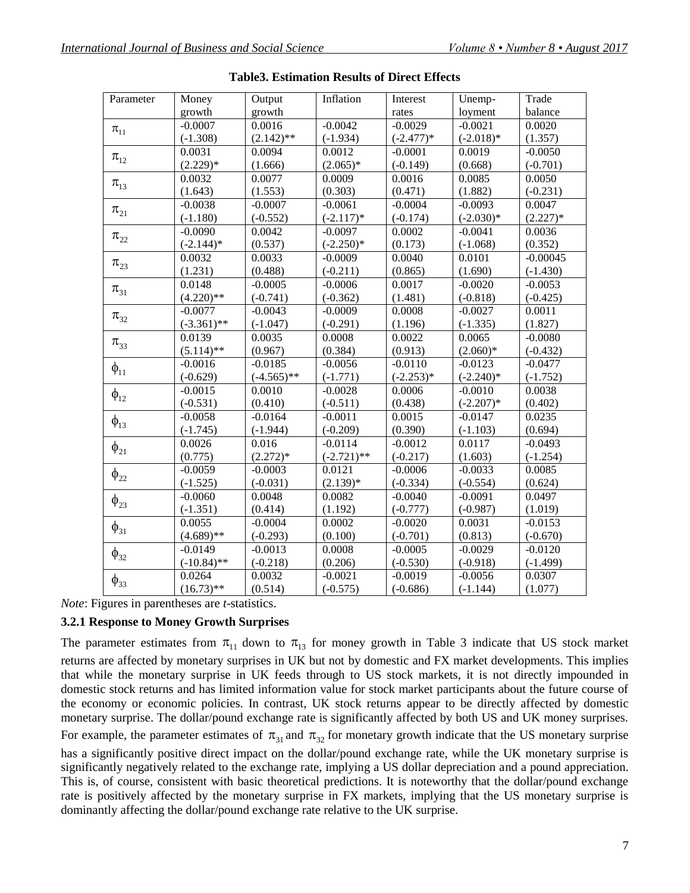| Parameter                     | Money         | Output        | Inflation     | Interest    | Unemp-      | Trade      |
|-------------------------------|---------------|---------------|---------------|-------------|-------------|------------|
|                               | growth        | growth        |               | rates       | loyment     | balance    |
| $\pi_{\scriptscriptstyle 11}$ | $-0.0007$     | 0.0016        | $-0.0042$     | $-0.0029$   | $-0.0021$   | 0.0020     |
|                               | $(-1.308)$    | $(2.142)$ **  | $(-1.934)$    | $(-2.477)*$ | $(-2.018)*$ | (1.357)    |
| $\pi_{12}$                    | 0.0031        | 0.0094        | 0.0012        | $-0.0001$   | 0.0019      | $-0.0050$  |
|                               | $(2.229)*$    | (1.666)       | $(2.065)*$    | $(-0.149)$  | (0.668)     | $(-0.701)$ |
| $\pi_{13}$                    | 0.0032        | 0.0077        | 0.0009        | 0.0016      | 0.0085      | 0.0050     |
|                               | (1.643)       | (1.553)       | (0.303)       | (0.471)     | (1.882)     | $(-0.231)$ |
| $\pi_{21}$                    | $-0.0038$     | $-0.0007$     | $-0.0061$     | $-0.0004$   | $-0.0093$   | 0.0047     |
|                               | $(-1.180)$    | $(-0.552)$    | $(-2.117)*$   | $(-0.174)$  | $(-2.030)*$ | $(2.227)*$ |
| $\pi_{22}$                    | $-0.0090$     | 0.0042        | $-0.0097$     | 0.0002      | $-0.0041$   | 0.0036     |
|                               | $(-2.144)*$   | (0.537)       | $(-2.250)*$   | (0.173)     | $(-1.068)$  | (0.352)    |
| $\pi_{23}$                    | 0.0032        | 0.0033        | $-0.0009$     | 0.0040      | 0.0101      | $-0.00045$ |
|                               | (1.231)       | (0.488)       | $(-0.211)$    | (0.865)     | (1.690)     | $(-1.430)$ |
| $\pi_{31}$                    | 0.0148        | $-0.0005$     | $-0.0006$     | 0.0017      | $-0.0020$   | $-0.0053$  |
|                               | $(4.220)$ **  | $(-0.741)$    | $(-0.362)$    | (1.481)     | $(-0.818)$  | $(-0.425)$ |
| $\pi_{32}$                    | $-0.0077$     | $-0.0043$     | $-0.0009$     | 0.0008      | $-0.0027$   | 0.0011     |
|                               | $(-3.361)$ ** | $(-1.047)$    | $(-0.291)$    | (1.196)     | $(-1.335)$  | (1.827)    |
| $\pi_{33}$                    | 0.0139        | 0.0035        | 0.0008        | 0.0022      | 0.0065      | $-0.0080$  |
|                               | $(5.114)$ **  | (0.967)       | (0.384)       | (0.913)     | $(2.060)*$  | $(-0.432)$ |
| $\phi_{11}$                   | $-0.0016$     | $-0.0185$     | $-0.0056$     | $-0.0110$   | $-0.0123$   | $-0.0477$  |
|                               | $(-0.629)$    | $(-4.565)$ ** | $(-1.771)$    | $(-2.253)*$ | $(-2.240)*$ | $(-1.752)$ |
| $\phi_{12}$                   | $-0.0015$     | 0.0010        | $-0.0028$     | 0.0006      | $-0.0010$   | 0.0038     |
|                               | $(-0.531)$    | (0.410)       | $(-0.511)$    | (0.438)     | $(-2.207)*$ | (0.402)    |
|                               | $-0.0058$     | $-0.0164$     | $-0.0011$     | 0.0015      | $-0.0147$   | 0.0235     |
| $\varphi_{13}$                | $(-1.745)$    | $(-1.944)$    | $(-0.209)$    | (0.390)     | $(-1.103)$  | (0.694)    |
|                               | 0.0026        | 0.016         | $-0.0114$     | $-0.0012$   | 0.0117      | $-0.0493$  |
| $\varphi_{21}$                | (0.775)       | $(2.272)*$    | $(-2.721)$ ** | $(-0.217)$  | (1.603)     | $(-1.254)$ |
| $\phi_{22}$                   | $-0.0059$     | $-0.0003$     | 0.0121        | $-0.0006$   | $-0.0033$   | 0.0085     |
|                               | $(-1.525)$    | $(-0.031)$    | $(2.139)*$    | $(-0.334)$  | $(-0.554)$  | (0.624)    |
| $\phi_{23}$                   | $-0.0060$     | 0.0048        | 0.0082        | $-0.0040$   | $-0.0091$   | 0.0497     |
|                               | $(-1.351)$    | (0.414)       | (1.192)       | $(-0.777)$  | $(-0.987)$  | (1.019)    |
| $\phi_{31}$                   | 0.0055        | $-0.0004$     | 0.0002        | $-0.0020$   | 0.0031      | $-0.0153$  |
|                               | $(4.689)$ **  | $(-0.293)$    | (0.100)       | $(-0.701)$  | (0.813)     | $(-0.670)$ |
| $\phi_{32}$                   | $-0.0149$     | $-0.0013$     | 0.0008        | $-0.0005$   | $-0.0029$   | $-0.0120$  |
|                               | $(-10.84)$ ** | $(-0.218)$    | (0.206)       | $(-0.530)$  | $(-0.918)$  | $(-1.499)$ |
| $\varphi_{33}$                | 0.0264        | 0.0032        | $-0.0021$     | $-0.0019$   | $-0.0056$   | 0.0307     |
|                               | $(16.73)$ **  | (0.514)       | $(-0.575)$    | $(-0.686)$  | $(-1.144)$  | (1.077)    |
|                               |               |               |               |             |             |            |

**Table3. Estimation Results of Direct Effects**

*Note*: Figures in parentheses are *t*-statistics.

### **3.2.1 Response to Money Growth Surprises**

The parameter estimates from  $\pi_{11}$  down to  $\pi_{13}$  for money growth in Table 3 indicate that US stock market returns are affected by monetary surprises in UK but not by domestic and FX market developments. This implies that while the monetary surprise in UK feeds through to US stock markets, it is not directly impounded in domestic stock returns and has limited information value for stock market participants about the future course of the economy or economic policies. In contrast, UK stock returns appear to be directly affected by domestic monetary surprise. The dollar/pound exchange rate is significantly affected by both US and UK money surprises. For example, the parameter estimates of  $\pi_{31}$  and  $\pi_{32}$  for monetary growth indicate that the US monetary surprise has a significantly positive direct impact on the dollar/pound exchange rate, while the UK monetary surprise is significantly negatively related to the exchange rate, implying a US dollar depreciation and a pound appreciation. This is, of course, consistent with basic theoretical predictions. It is noteworthy that the dollar/pound exchange rate is positively affected by the monetary surprise in FX markets, implying that the US monetary surprise is dominantly affecting the dollar/pound exchange rate relative to the UK surprise.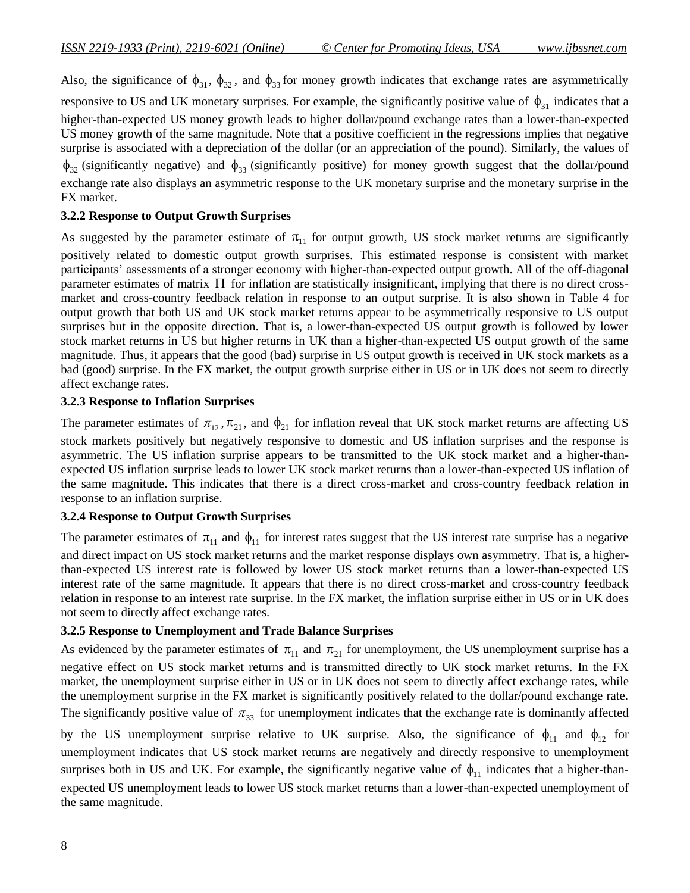Also, the significance of  $\phi_{31}$ ,  $\phi_{32}$ , and  $\phi_{33}$  for money growth indicates that exchange rates are asymmetrically responsive to US and UK monetary surprises. For example, the significantly positive value of  $\phi_{31}$  indicates that a higher-than-expected US money growth leads to higher dollar/pound exchange rates than a lower-than-expected US money growth of the same magnitude. Note that a positive coefficient in the regressions implies that negative surprise is associated with a depreciation of the dollar (or an appreciation of the pound). Similarly, the values of  $\phi_{32}$  (significantly negative) and  $\phi_{33}$  (significantly positive) for money growth suggest that the dollar/pound exchange rate also displays an asymmetric response to the UK monetary surprise and the monetary surprise in the FX market.

# **3.2.2 Response to Output Growth Surprises**

As suggested by the parameter estimate of  $\pi_{11}$  for output growth, US stock market returns are significantly positively related to domestic output growth surprises. This estimated response is consistent with market participants' assessments of a stronger economy with higher-than-expected output growth. All of the off-diagonal parameter estimates of matrix  $\Pi$  for inflation are statistically insignificant, implying that there is no direct crossmarket and cross-country feedback relation in response to an output surprise. It is also shown in Table 4 for output growth that both US and UK stock market returns appear to be asymmetrically responsive to US output surprises but in the opposite direction. That is, a lower-than-expected US output growth is followed by lower stock market returns in US but higher returns in UK than a higher-than-expected US output growth of the same magnitude. Thus, it appears that the good (bad) surprise in US output growth is received in UK stock markets as a bad (good) surprise. In the FX market, the output growth surprise either in US or in UK does not seem to directly affect exchange rates.

### **3.2.3 Response to Inflation Surprises**

The parameter estimates of  $\pi_{12}$ ,  $\pi_{21}$ , and  $\phi_{21}$  for inflation reveal that UK stock market returns are affecting US stock markets positively but negatively responsive to domestic and US inflation surprises and the response is asymmetric. The US inflation surprise appears to be transmitted to the UK stock market and a higher-thanexpected US inflation surprise leads to lower UK stock market returns than a lower-than-expected US inflation of the same magnitude. This indicates that there is a direct cross-market and cross-country feedback relation in response to an inflation surprise.

### **3.2.4 Response to Output Growth Surprises**

The parameter estimates of  $\pi_{11}$  and  $\phi_{11}$  for interest rates suggest that the US interest rate surprise has a negative and direct impact on US stock market returns and the market response displays own asymmetry. That is, a higherthan-expected US interest rate is followed by lower US stock market returns than a lower-than-expected US interest rate of the same magnitude. It appears that there is no direct cross-market and cross-country feedback relation in response to an interest rate surprise. In the FX market, the inflation surprise either in US or in UK does not seem to directly affect exchange rates.

#### **3.2.5 Response to Unemployment and Trade Balance Surprises**

As evidenced by the parameter estimates of  $\pi_{11}$  and  $\pi_{21}$  for unemployment, the US unemployment surprise has a negative effect on US stock market returns and is transmitted directly to UK stock market returns. In the FX market, the unemployment surprise either in US or in UK does not seem to directly affect exchange rates, while the unemployment surprise in the FX market is significantly positively related to the dollar/pound exchange rate. The significantly positive value of  $\pi_{33}$  for unemployment indicates that the exchange rate is dominantly affected by the US unemployment surprise relative to UK surprise. Also, the significance of  $\phi_{11}$  and  $\phi_{12}$  for unemployment indicates that US stock market returns are negatively and directly responsive to unemployment surprises both in US and UK. For example, the significantly negative value of  $\phi_{11}$  indicates that a higher-thanexpected US unemployment leads to lower US stock market returns than a lower-than-expected unemployment of the same magnitude.